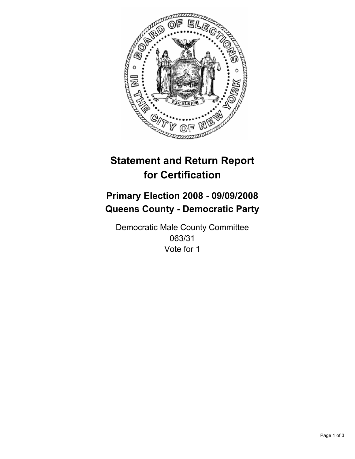

# **Statement and Return Report for Certification**

## **Primary Election 2008 - 09/09/2008 Queens County - Democratic Party**

Democratic Male County Committee 063/31 Vote for 1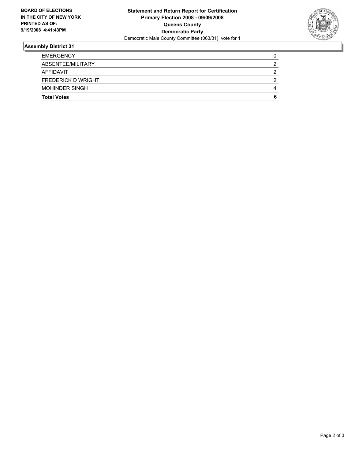

### **Assembly District 31**

| <b>EMERGENCY</b>          |  |
|---------------------------|--|
| ABSENTEE/MILITARY         |  |
| AFFIDAVIT                 |  |
| <b>FREDERICK D WRIGHT</b> |  |
| <b>MOHINDER SINGH</b>     |  |
| <b>Total Votes</b>        |  |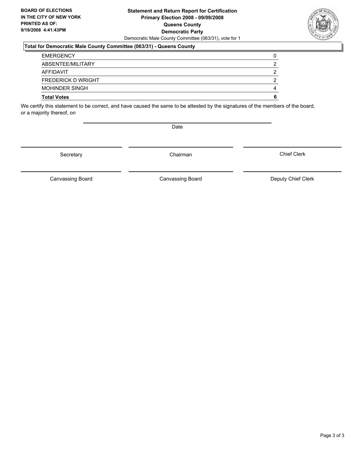#### **Statement and Return Report for Certification Primary Election 2008 - 09/09/2008 Queens County Democratic Party** Democratic Male County Committee (063/31), vote for 1

#### **Total for Democratic Male County Committee (063/31) - Queens County**

| <b>Total Votes</b>        |  |
|---------------------------|--|
| <b>MOHINDER SINGH</b>     |  |
| <b>FREDERICK D WRIGHT</b> |  |
| AFFIDAVIT                 |  |
| ABSENTEE/MILITARY         |  |
| <b>EMERGENCY</b>          |  |

We certify this statement to be correct, and have caused the same to be attested by the signatures of the members of the board, or a majority thereof, on

Date

Secretary Chairman

Canvassing Board

Canvassing Board **Canvassing Board** Canvassing Board **Deputy Chief Clerk** 

Chief Clerk

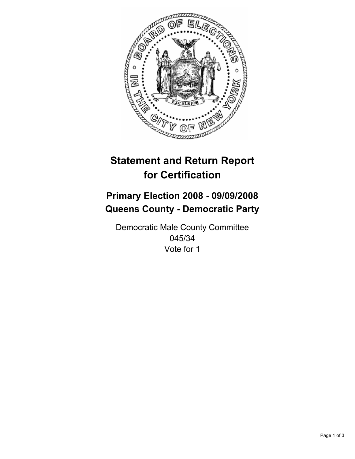

# **Statement and Return Report for Certification**

## **Primary Election 2008 - 09/09/2008 Queens County - Democratic Party**

Democratic Male County Committee 045/34 Vote for 1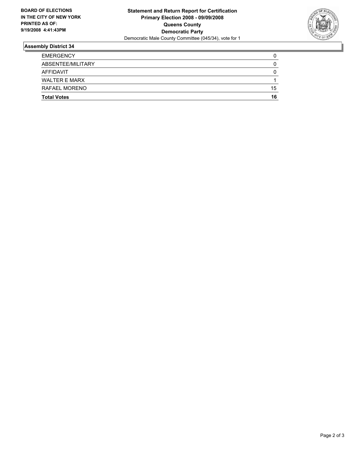

### **Assembly District 34**

| <b>Total Votes</b>   | 16 |
|----------------------|----|
| RAFAEL MORENO        | 15 |
| <b>WALTER E MARX</b> |    |
| <b>AFFIDAVIT</b>     |    |
| ABSENTEE/MILITARY    |    |
| <b>EMERGENCY</b>     |    |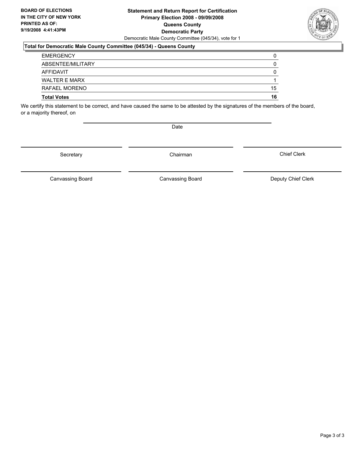#### **Statement and Return Report for Certification Primary Election 2008 - 09/09/2008 Queens County Democratic Party** Democratic Male County Committee (045/34), vote for 1

#### **Total for Democratic Male County Committee (045/34) - Queens County**

| <b>Total Votes</b>   | 16 |
|----------------------|----|
| RAFAEL MORENO        | 15 |
| <b>WALTER E MARX</b> |    |
| <b>AFFIDAVIT</b>     |    |
| ABSENTEE/MILITARY    |    |
| <b>EMERGENCY</b>     |    |

We certify this statement to be correct, and have caused the same to be attested by the signatures of the members of the board, or a majority thereof, on

Date

Secretary Chairman

Canvassing Board

Canvassing Board **Canvassing Board** Canvassing Board **Deputy Chief Clerk** 

Chief Clerk

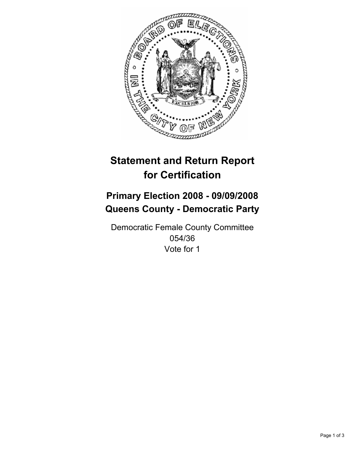

# **Statement and Return Report for Certification**

## **Primary Election 2008 - 09/09/2008 Queens County - Democratic Party**

Democratic Female County Committee 054/36 Vote for 1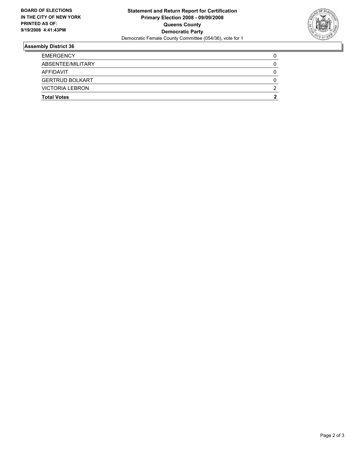

### **Assembly District 36**

| <b>EMERGENCY</b>       |  |
|------------------------|--|
| ABSENTEE/MILITARY      |  |
| <b>AFFIDAVIT</b>       |  |
| <b>GERTRUD BOLKART</b> |  |
| <b>VICTORIA LEBRON</b> |  |
| <b>Total Votes</b>     |  |